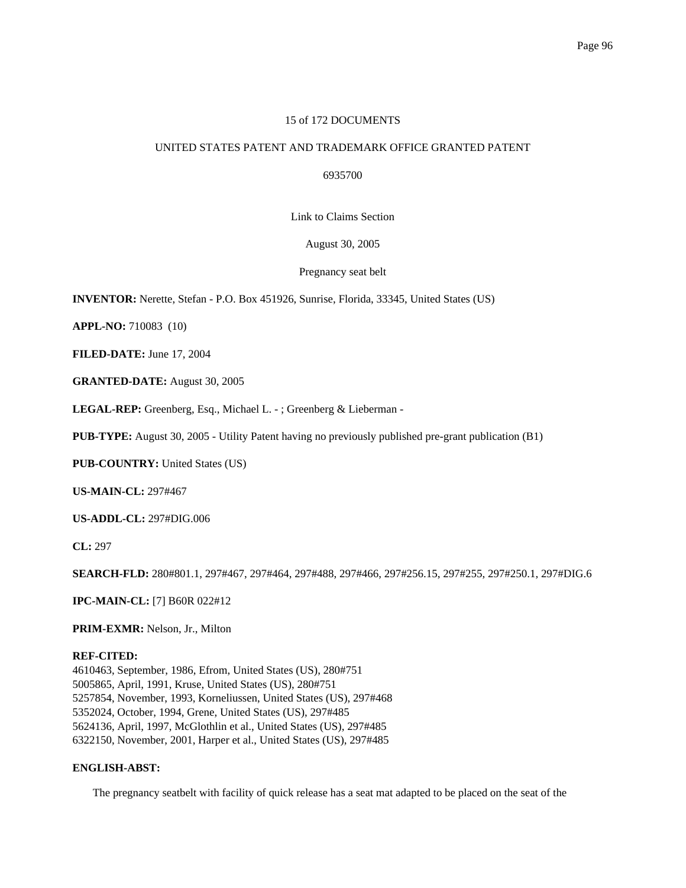## 15 of 172 DOCUMENTS

# UNITED STATES PATENT AND TRADEMARK OFFICE GRANTED PATENT

6935700

Link to Claims Section

August 30, 2005

Pregnancy seat belt

**INVENTOR:** Nerette, Stefan - P.O. Box 451926, Sunrise, Florida, 33345, United States (US)

**APPL-NO:** 710083 (10)

**FILED-DATE:** June 17, 2004

**GRANTED-DATE:** August 30, 2005

**LEGAL-REP:** Greenberg, Esq., Michael L. - ; Greenberg & Lieberman -

**PUB-TYPE:** August 30, 2005 - Utility Patent having no previously published pre-grant publication (B1)

**PUB-COUNTRY:** United States (US)

**US-MAIN-CL:** 297#467

**US-ADDL-CL:** 297#DIG.006

**CL:** 297

**SEARCH-FLD:** 280#801.1, 297#467, 297#464, 297#488, 297#466, 297#256.15, 297#255, 297#250.1, 297#DIG.6

**IPC-MAIN-CL:** [7] B60R 022#12

**PRIM-EXMR:** Nelson, Jr., Milton

### **REF-CITED:**

4610463, September, 1986, Efrom, United States (US), 280#751 5005865, April, 1991, Kruse, United States (US), 280#751 5257854, November, 1993, Korneliussen, United States (US), 297#468 5352024, October, 1994, Grene, United States (US), 297#485 5624136, April, 1997, McGlothlin et al., United States (US), 297#485 6322150, November, 2001, Harper et al., United States (US), 297#485

# **ENGLISH-ABST:**

The pregnancy seatbelt with facility of quick release has a seat mat adapted to be placed on the seat of the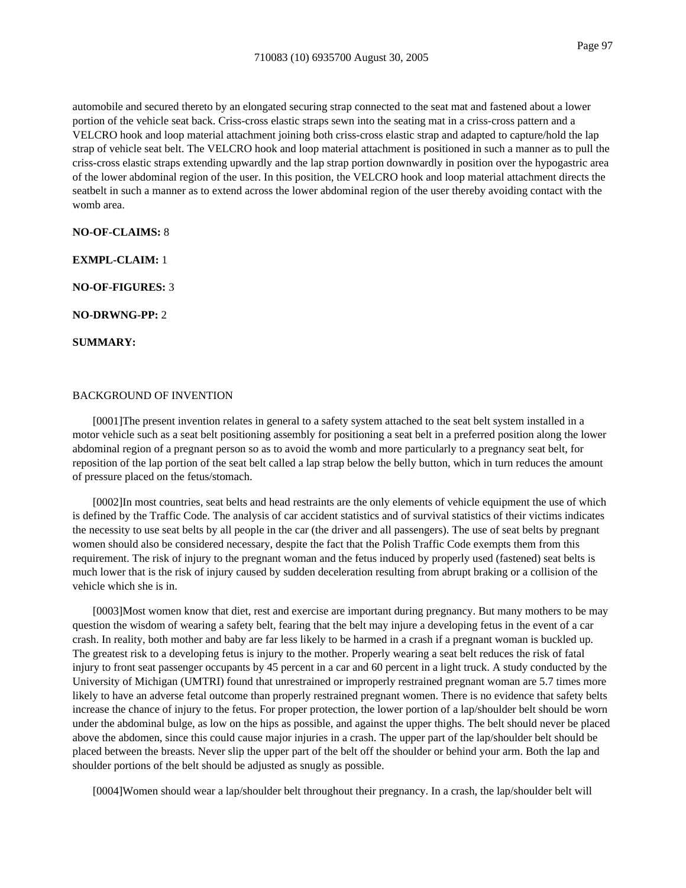automobile and secured thereto by an elongated securing strap connected to the seat mat and fastened about a lower portion of the vehicle seat back. Criss-cross elastic straps sewn into the seating mat in a criss-cross pattern and a VELCRO hook and loop material attachment joining both criss-cross elastic strap and adapted to capture/hold the lap strap of vehicle seat belt. The VELCRO hook and loop material attachment is positioned in such a manner as to pull the criss-cross elastic straps extending upwardly and the lap strap portion downwardly in position over the hypogastric area of the lower abdominal region of the user. In this position, the VELCRO hook and loop material attachment directs the seatbelt in such a manner as to extend across the lower abdominal region of the user thereby avoiding contact with the womb area.

#### **NO-OF-CLAIMS:** 8

**EXMPL-CLAIM:** 1

**NO-OF-FIGURES:** 3

**NO-DRWNG-PP:** 2

**SUMMARY:**

### BACKGROUND OF INVENTION

[0001]The present invention relates in general to a safety system attached to the seat belt system installed in a motor vehicle such as a seat belt positioning assembly for positioning a seat belt in a preferred position along the lower abdominal region of a pregnant person so as to avoid the womb and more particularly to a pregnancy seat belt, for reposition of the lap portion of the seat belt called a lap strap below the belly button, which in turn reduces the amount of pressure placed on the fetus/stomach.

[0002]In most countries, seat belts and head restraints are the only elements of vehicle equipment the use of which is defined by the Traffic Code. The analysis of car accident statistics and of survival statistics of their victims indicates the necessity to use seat belts by all people in the car (the driver and all passengers). The use of seat belts by pregnant women should also be considered necessary, despite the fact that the Polish Traffic Code exempts them from this requirement. The risk of injury to the pregnant woman and the fetus induced by properly used (fastened) seat belts is much lower that is the risk of injury caused by sudden deceleration resulting from abrupt braking or a collision of the vehicle which she is in.

[0003]Most women know that diet, rest and exercise are important during pregnancy. But many mothers to be may question the wisdom of wearing a safety belt, fearing that the belt may injure a developing fetus in the event of a car crash. In reality, both mother and baby are far less likely to be harmed in a crash if a pregnant woman is buckled up. The greatest risk to a developing fetus is injury to the mother. Properly wearing a seat belt reduces the risk of fatal injury to front seat passenger occupants by 45 percent in a car and 60 percent in a light truck. A study conducted by the University of Michigan (UMTRI) found that unrestrained or improperly restrained pregnant woman are 5.7 times more likely to have an adverse fetal outcome than properly restrained pregnant women. There is no evidence that safety belts increase the chance of injury to the fetus. For proper protection, the lower portion of a lap/shoulder belt should be worn under the abdominal bulge, as low on the hips as possible, and against the upper thighs. The belt should never be placed above the abdomen, since this could cause major injuries in a crash. The upper part of the lap/shoulder belt should be placed between the breasts. Never slip the upper part of the belt off the shoulder or behind your arm. Both the lap and shoulder portions of the belt should be adjusted as snugly as possible.

[0004]Women should wear a lap/shoulder belt throughout their pregnancy. In a crash, the lap/shoulder belt will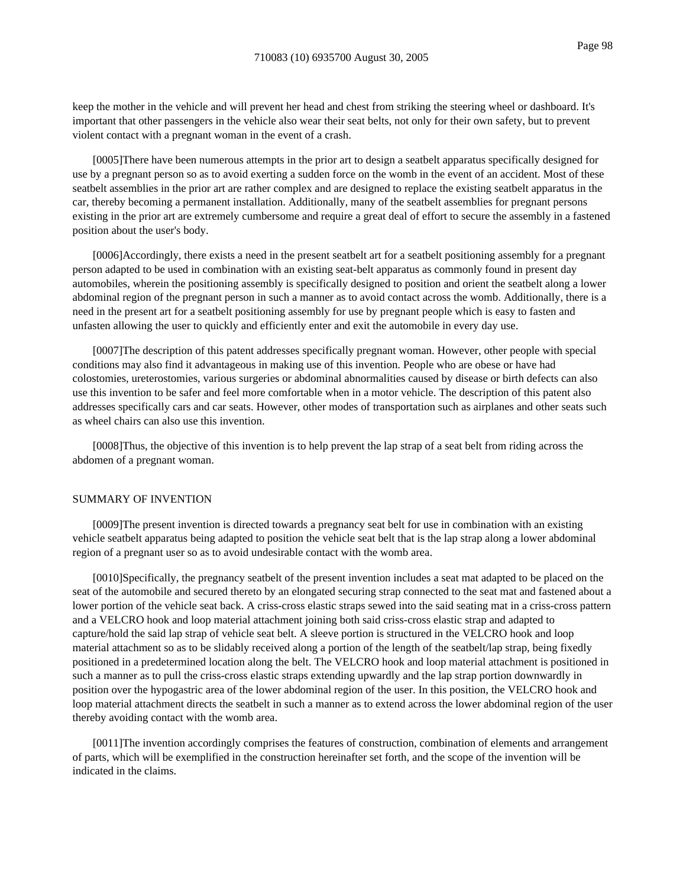keep the mother in the vehicle and will prevent her head and chest from striking the steering wheel or dashboard. It's important that other passengers in the vehicle also wear their seat belts, not only for their own safety, but to prevent violent contact with a pregnant woman in the event of a crash.

[0005]There have been numerous attempts in the prior art to design a seatbelt apparatus specifically designed for use by a pregnant person so as to avoid exerting a sudden force on the womb in the event of an accident. Most of these seatbelt assemblies in the prior art are rather complex and are designed to replace the existing seatbelt apparatus in the car, thereby becoming a permanent installation. Additionally, many of the seatbelt assemblies for pregnant persons existing in the prior art are extremely cumbersome and require a great deal of effort to secure the assembly in a fastened position about the user's body.

[0006]Accordingly, there exists a need in the present seatbelt art for a seatbelt positioning assembly for a pregnant person adapted to be used in combination with an existing seat-belt apparatus as commonly found in present day automobiles, wherein the positioning assembly is specifically designed to position and orient the seatbelt along a lower abdominal region of the pregnant person in such a manner as to avoid contact across the womb. Additionally, there is a need in the present art for a seatbelt positioning assembly for use by pregnant people which is easy to fasten and unfasten allowing the user to quickly and efficiently enter and exit the automobile in every day use.

[0007]The description of this patent addresses specifically pregnant woman. However, other people with special conditions may also find it advantageous in making use of this invention. People who are obese or have had colostomies, ureterostomies, various surgeries or abdominal abnormalities caused by disease or birth defects can also use this invention to be safer and feel more comfortable when in a motor vehicle. The description of this patent also addresses specifically cars and car seats. However, other modes of transportation such as airplanes and other seats such as wheel chairs can also use this invention.

[0008]Thus, the objective of this invention is to help prevent the lap strap of a seat belt from riding across the abdomen of a pregnant woman.

## SUMMARY OF INVENTION

[0009]The present invention is directed towards a pregnancy seat belt for use in combination with an existing vehicle seatbelt apparatus being adapted to position the vehicle seat belt that is the lap strap along a lower abdominal region of a pregnant user so as to avoid undesirable contact with the womb area.

[0010]Specifically, the pregnancy seatbelt of the present invention includes a seat mat adapted to be placed on the seat of the automobile and secured thereto by an elongated securing strap connected to the seat mat and fastened about a lower portion of the vehicle seat back. A criss-cross elastic straps sewed into the said seating mat in a criss-cross pattern and a VELCRO hook and loop material attachment joining both said criss-cross elastic strap and adapted to capture/hold the said lap strap of vehicle seat belt. A sleeve portion is structured in the VELCRO hook and loop material attachment so as to be slidably received along a portion of the length of the seatbelt/lap strap, being fixedly positioned in a predetermined location along the belt. The VELCRO hook and loop material attachment is positioned in such a manner as to pull the criss-cross elastic straps extending upwardly and the lap strap portion downwardly in position over the hypogastric area of the lower abdominal region of the user. In this position, the VELCRO hook and loop material attachment directs the seatbelt in such a manner as to extend across the lower abdominal region of the user thereby avoiding contact with the womb area.

[0011]The invention accordingly comprises the features of construction, combination of elements and arrangement of parts, which will be exemplified in the construction hereinafter set forth, and the scope of the invention will be indicated in the claims.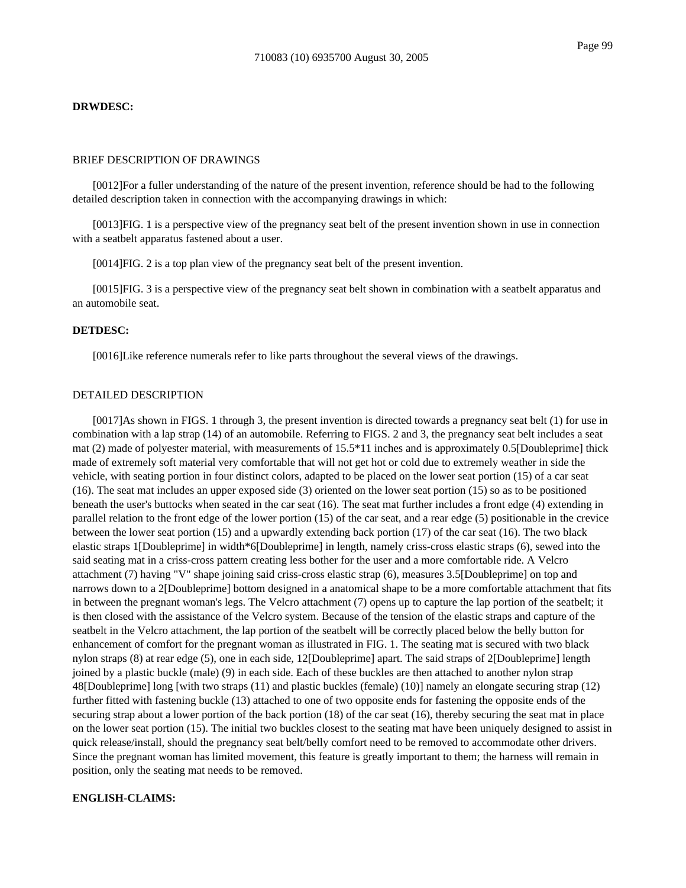#### **DRWDESC:**

### BRIEF DESCRIPTION OF DRAWINGS

[0012]For a fuller understanding of the nature of the present invention, reference should be had to the following detailed description taken in connection with the accompanying drawings in which:

[0013]FIG. 1 is a perspective view of the pregnancy seat belt of the present invention shown in use in connection with a seatbelt apparatus fastened about a user.

[0014]FIG. 2 is a top plan view of the pregnancy seat belt of the present invention.

[0015]FIG. 3 is a perspective view of the pregnancy seat belt shown in combination with a seatbelt apparatus and an automobile seat.

## **DETDESC:**

[0016]Like reference numerals refer to like parts throughout the several views of the drawings.

## DETAILED DESCRIPTION

[0017]As shown in FIGS. 1 through 3, the present invention is directed towards a pregnancy seat belt (1) for use in combination with a lap strap (14) of an automobile. Referring to FIGS. 2 and 3, the pregnancy seat belt includes a seat mat (2) made of polyester material, with measurements of 15.5\*11 inches and is approximately 0.5[Doubleprime] thick made of extremely soft material very comfortable that will not get hot or cold due to extremely weather in side the vehicle, with seating portion in four distinct colors, adapted to be placed on the lower seat portion (15) of a car seat (16). The seat mat includes an upper exposed side (3) oriented on the lower seat portion (15) so as to be positioned beneath the user's buttocks when seated in the car seat (16). The seat mat further includes a front edge (4) extending in parallel relation to the front edge of the lower portion (15) of the car seat, and a rear edge (5) positionable in the crevice between the lower seat portion (15) and a upwardly extending back portion (17) of the car seat (16). The two black elastic straps 1[Doubleprime] in width\*6[Doubleprime] in length, namely criss-cross elastic straps (6), sewed into the said seating mat in a criss-cross pattern creating less bother for the user and a more comfortable ride. A Velcro attachment (7) having "V" shape joining said criss-cross elastic strap (6), measures 3.5[Doubleprime] on top and narrows down to a 2[Doubleprime] bottom designed in a anatomical shape to be a more comfortable attachment that fits in between the pregnant woman's legs. The Velcro attachment (7) opens up to capture the lap portion of the seatbelt; it is then closed with the assistance of the Velcro system. Because of the tension of the elastic straps and capture of the seatbelt in the Velcro attachment, the lap portion of the seatbelt will be correctly placed below the belly button for enhancement of comfort for the pregnant woman as illustrated in FIG. 1. The seating mat is secured with two black nylon straps (8) at rear edge (5), one in each side, 12[Doubleprime] apart. The said straps of 2[Doubleprime] length joined by a plastic buckle (male) (9) in each side. Each of these buckles are then attached to another nylon strap 48[Doubleprime] long [with two straps (11) and plastic buckles (female) (10)] namely an elongate securing strap (12) further fitted with fastening buckle (13) attached to one of two opposite ends for fastening the opposite ends of the securing strap about a lower portion of the back portion (18) of the car seat (16), thereby securing the seat mat in place on the lower seat portion (15). The initial two buckles closest to the seating mat have been uniquely designed to assist in quick release/install, should the pregnancy seat belt/belly comfort need to be removed to accommodate other drivers. Since the pregnant woman has limited movement, this feature is greatly important to them; the harness will remain in position, only the seating mat needs to be removed.

### **ENGLISH-CLAIMS:**